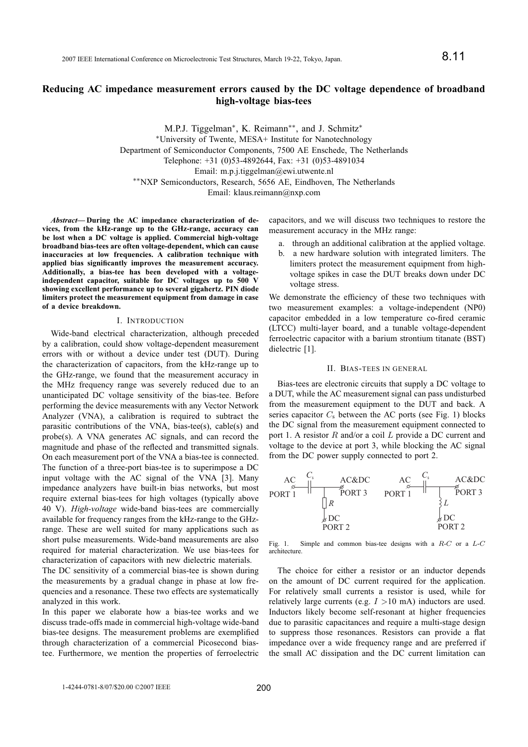# **Reducing AC impedance measurement errors caused by the DC voltage dependence of broadband high-voltage bias-tees**

M.P.J. Tiggelman<sup>\*</sup>, K. Reimann<sup>\*\*</sup>, and J. Schmitz<sup>\*</sup> <sup>∗</sup>University of Twente, MESA+ Institute for Nanotechnology Department of Semiconductor Components, 7500 AE Enschede, The Netherlands Telephone: +31 (0)53-4892644, Fax: +31 (0)53-4891034 Email: m.p.j.tiggelman@ewi.utwente.nl ∗∗NXP Semiconductors, Research, 5656 AE, Eindhoven, The Netherlands Email: klaus.reimann@nxp.com

*Abstract***— During the AC impedance characterization of devices, from the kHz-range up to the GHz-range, accuracy can be lost when a DC voltage is applied. Commercial high-voltage broadband bias-tees are often voltage-dependent, which can cause inaccuracies at low frequencies. A calibration technique with applied bias significantly improves the measurement accuracy. Additionally, a bias-tee has been developed with a voltageindependent capacitor, suitable for DC voltages up to 500 V showing excellent performance up to several gigahertz. PIN diode limiters protect the measurement equipment from damage in case of a device breakdown.**

#### I. INTRODUCTION

Wide-band electrical characterization, although preceded by a calibration, could show voltage-dependent measurement errors with or without a device under test (DUT). During the characterization of capacitors, from the kHz-range up to the GHz-range, we found that the measurement accuracy in the MHz frequency range was severely reduced due to an unanticipated DC voltage sensitivity of the bias-tee. Before performing the device measurements with any Vector Network Analyzer (VNA), a calibration is required to subtract the parasitic contributions of the VNA, bias-tee(s), cable(s) and probe(s). A VNA generates AC signals, and can record the magnitude and phase of the reflected and transmitted signals. On each measurement port of the VNA a bias-tee is connected. The function of a three-port bias-tee is to superimpose a DC input voltage with the AC signal of the VNA [3]. Many impedance analyzers have built-in bias networks, but most require external bias-tees for high voltages (typically above 40 V). *High-voltage* wide-band bias-tees are commercially available for frequency ranges from the kHz-range to the GHzrange. These are well suited for many applications such as short pulse measurements. Wide-band measurements are also required for material characterization. We use bias-tees for characterization of capacitors with new dielectric materials.

The DC sensitivity of a commercial bias-tee is shown during the measurements by a gradual change in phase at low frequencies and a resonance. These two effects are systematically analyzed in this work.

In this paper we elaborate how a bias-tee works and we discuss trade-offs made in commercial high-voltage wide-band bias-tee designs. The measurement problems are exemplified through characterization of a commercial Picosecond biastee. Furthermore, we mention the properties of ferroelectric capacitors, and we will discuss two techniques to restore the measurement accuracy in the MHz range:

- a. through an additional calibration at the applied voltage.
- b. a new hardware solution with integrated limiters. The limiters protect the measurement equipment from highvoltage spikes in case the DUT breaks down under DC voltage stress.

We demonstrate the efficiency of these two techniques with two measurement examples: a voltage-independent (NP0) capacitor embedded in a low temperature co-fired ceramic (LTCC) multi-layer board, and a tunable voltage-dependent ferroelectric capacitor with a barium strontium titanate (BST) dielectric [1].

# II. BIAS-TEES IN GENERAL

Bias-tees are electronic circuits that supply a DC voltage to a DUT, while the AC measurement signal can pass undisturbed from the measurement equipment to the DUT and back. A series capacitor  $C_s$  between the AC ports (see Fig. 1) blocks the DC signal from the measurement equipment connected to port 1. A resistor R and/or a coil L provide a DC current and voltage to the device at port 3, while blocking the AC signal from the DC power supply connected to port 2.



Simple and common bias-tee designs with a  $R-C$  or a  $L-C$ Fig. 1. S<br>architecture.

The choice for either a resistor or an inductor depends on the amount of DC current required for the application. For relatively small currents a resistor is used, while for relatively large currents (e.g.  $I > 10$  mA) inductors are used. Inductors likely become self-resonant at higher frequencies due to parasitic capacitances and require a multi-stage design to suppress those resonances. Resistors can provide a flat impedance over a wide frequency range and are preferred if the small AC dissipation and the DC current limitation can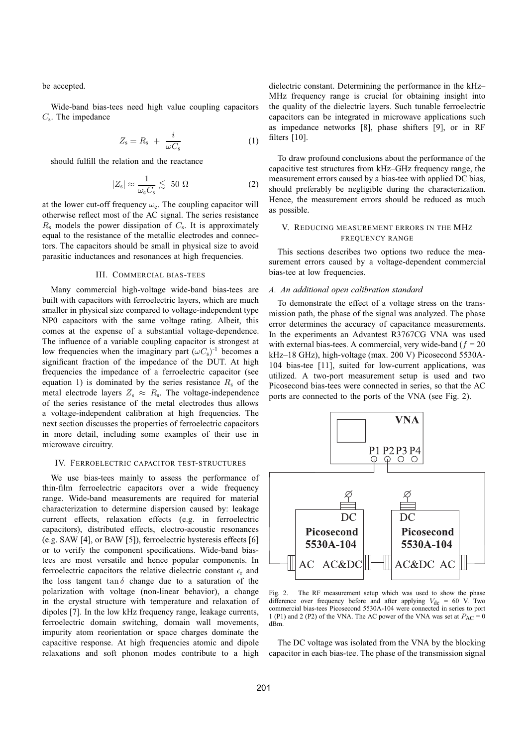be accepted.

Wide-band bias-tees need high value coupling capacitors  $C_s$ . The impedance

$$
Z_{\rm s} = R_{\rm s} + \frac{i}{\omega C_{\rm s}} \tag{1}
$$

should fulfill the relation and the reactance

$$
|Z_{\rm s}| \approx \frac{1}{\omega_{\rm c} C_{\rm s}} \lesssim 50 \ \Omega \tag{2}
$$

at the lower cut-off frequency  $\omega_c$ . The coupling capacitor will otherwise reflect most of the AC signal. The series resistance  $R_s$  models the power dissipation of  $C_s$ . It is approximately equal to the resistance of the metallic electrodes and connectors. The capacitors should be small in physical size to avoid parasitic inductances and resonances at high frequencies.

#### III. COMMERCIAL BIAS-TEES

Many commercial high-voltage wide-band bias-tees are built with capacitors with ferroelectric layers, which are much smaller in physical size compared to voltage-independent type NP0 capacitors with the same voltage rating. Albeit, this comes at the expense of a substantial voltage-dependence. The influence of a variable coupling capacitor is strongest at low frequencies when the imaginary part  $(\omega C_s)^{-1}$  becomes a significant fraction of the impedance of the DUT. At high frequencies the impedance of a ferroelectric capacitor (see equation 1) is dominated by the series resistance  $R_s$  of the metal electrode layers  $Z_s \approx R_s$ . The voltage-independence of the series resistance of the metal electrodes thus allows a voltage-independent calibration at high frequencies. The next section discusses the properties of ferroelectric capacitors in more detail, including some examples of their use in microwave circuitry.

## IV. FERROELECTRIC CAPACITOR TEST-STRUCTURES

We use bias-tees mainly to assess the performance of thin-film ferroelectric capacitors over a wide frequency range. Wide-band measurements are required for material characterization to determine dispersion caused by: leakage current effects, relaxation effects (e.g. in ferroelectric capacitors), distributed effects, electro-acoustic resonances (e.g. SAW [4], or BAW [5]), ferroelectric hysteresis effects [6] or to verify the component specifications. Wide-band biastees are most versatile and hence popular components. In ferroelectric capacitors the relative dielectric constant  $\epsilon_r$  and the loss tangent tan  $\delta$  change due to a saturation of the polarization with voltage (non-linear behavior), a change in the crystal structure with temperature and relaxation of dipoles [7]. In the low kHz frequency range, leakage currents, ferroelectric domain switching, domain wall movements, impurity atom reorientation or space charges dominate the capacitive response. At high frequencies atomic and dipole relaxations and soft phonon modes contribute to a high

dielectric constant. Determining the performance in the kHz– MHz frequency range is crucial for obtaining insight into the quality of the dielectric layers. Such tunable ferroelectric capacitors can be integrated in microwave applications such as impedance networks [8], phase shifters [9], or in RF filters [10].

To draw profound conclusions about the performance of the capacitive test structures from kHz–GHz frequency range, the measurement errors caused by a bias-tee with applied DC bias, should preferably be negligible during the characterization. Hence, the measurement errors should be reduced as much as possible.

# V. REDUCING MEASUREMENT ERRORS IN THE MHZ FREQUENCY RANGE

This sections describes two options two reduce the measurement errors caused by a voltage-dependent commercial bias-tee at low frequencies.

#### *A. An additional open calibration standard*

To demonstrate the effect of a voltage stress on the transmission path, the phase of the signal was analyzed. The phase error determines the accuracy of capacitance measurements. In the experiments an Advantest R3767CG VNA was used with external bias-tees. A commercial, very wide-band ( $f = 20$ ) kHz–18 GHz), high-voltage (max. 200 V) Picosecond 5530A-104 bias-tee [11], suited for low-current applications, was utilized. A two-port measurement setup is used and two Picosecond bias-tees were connected in series, so that the AC ports are connected to the ports of the VNA (see Fig. 2).



Fig. 2. The RF measurement setup which was used to show the phase difference over frequency before and after applying  $V_{\text{dc}} = 60 \text{ V}$ . Two commercial bias-tees Picosecond 5530A-104 were connected in series to port 1 (P1) and 2 (P2) of the VNA. The AC power of the VNA was set at  $P_{AC} = 0$ dBm.

The DC voltage was isolated from the VNA by the blocking capacitor in each bias-tee. The phase of the transmission signal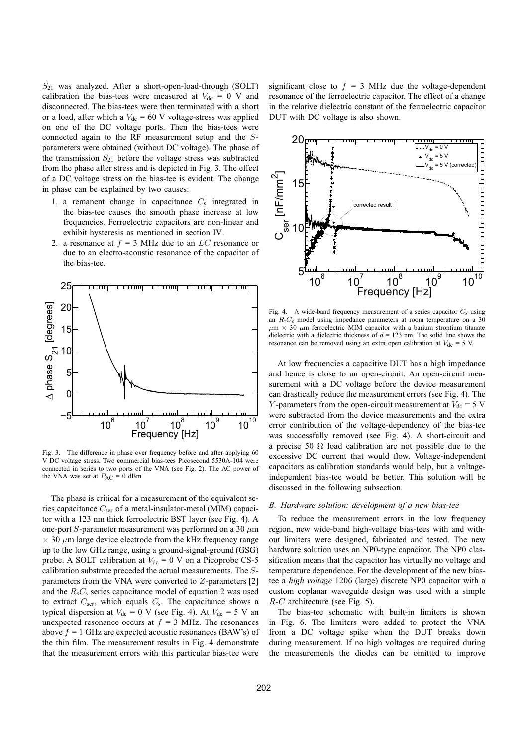$S_{21}$  was analyzed. After a short-open-load-through (SOLT) calibration the bias-tees were measured at  $V_{dc} = 0$  V and disconnected. The bias-tees were then terminated with a short or a load, after which a  $V_{\text{dc}} = 60$  V voltage-stress was applied on one of the DC voltage ports. Then the bias-tees were connected again to the RF measurement setup and the Sparameters were obtained (without DC voltage). The phase of the transmission  $S_{21}$  before the voltage stress was subtracted from the phase after stress and is depicted in Fig. 3. The effect of a DC voltage stress on the bias-tee is evident. The change in phase can be explained by two causes:

- 1. a remanent change in capacitance  $C_s$  integrated in the bias-tee causes the smooth phase increase at low frequencies. Ferroelectric capacitors are non-linear and exhibit hysteresis as mentioned in section IV.
- 2. a resonance at  $f = 3$  MHz due to an LC resonance or due to an electro-acoustic resonance of the capacitor of the bias-tee.



Fig. 3. The difference in phase over frequency before and after applying 60 V DC voltage stress. Two commercial bias-tees Picosecond 5530A-104 were connected in series to two ports of the VNA (see Fig. 2). The AC power of the VNA was set at  $P_{AC} = 0$  dBm.

The phase is critical for a measurement of the equivalent series capacitance  $C_{\text{ser}}$  of a metal-insulator-metal (MIM) capacitor with a 123 nm thick ferroelectric BST layer (see Fig. 4). A one-port  $S$ -parameter measurement was performed on a 30  $\mu$ m  $\times$  30  $\mu$ m large device electrode from the kHz frequency range up to the low GHz range, using a ground-signal-ground (GSG) probe. A SOLT calibration at  $V_{dc} = 0$  V on a Picoprobe CS-5 calibration substrate preceded the actual measurements. The Sparameters from the VNA were converted to Z-parameters [2] and the  $R_sC_s$  series capacitance model of equation 2 was used to extract  $C_{\text{ser}}$ , which equals  $C_{\text{s}}$ . The capacitance shows a typical dispersion at  $V_{dc} = 0$  V (see Fig. 4). At  $V_{dc} = 5$  V an unexpected resonance occurs at  $f = 3$  MHz. The resonances above  $f = 1$  GHz are expected acoustic resonances (BAW's) of the thin film. The measurement results in Fig. 4 demonstrate that the measurement errors with this particular bias-tee were

significant close to  $f = 3$  MHz due the voltage-dependent resonance of the ferroelectric capacitor. The effect of a change in the relative dielectric constant of the ferroelectric capacitor DUT with DC voltage is also shown.



Fig. 4. A wide-band frequency measurement of a series capacitor  $C_s$  using an R-C<sup>s</sup> model using impedance parameters at room temperature on a 30  $\mu$ m  $\times$  30  $\mu$ m ferroelectric MIM capacitor with a barium strontium titanate dielectric with a dielectric thickness of  $d = 123$  nm. The solid line shows the resonance can be removed using an extra open calibration at  $V_{dc} = 5$  V.

At low frequencies a capacitive DUT has a high impedance and hence is close to an open-circuit. An open-circuit measurement with a DC voltage before the device measurement can drastically reduce the measurement errors (see Fig. 4). The Y-parameters from the open-circuit measurement at  $V_{dc} = 5$  V were subtracted from the device measurements and the extra error contribution of the voltage-dependency of the bias-tee was successfully removed (see Fig. 4). A short-circuit and a precise 50  $\Omega$  load calibration are not possible due to the excessive DC current that would flow. Voltage-independent capacitors as calibration standards would help, but a voltageindependent bias-tee would be better. This solution will be discussed in the following subsection.

# *B. Hardware solution: development of a new bias-tee*

To reduce the measurement errors in the low frequency region, new wide-band high-voltage bias-tees with and without limiters were designed, fabricated and tested. The new hardware solution uses an NP0-type capacitor. The NP0 classification means that the capacitor has virtually no voltage and temperature dependence. For the development of the new biastee a *high voltage* 1206 (large) discrete NP0 capacitor with a custom coplanar waveguide design was used with a simple R-C architecture (see Fig. 5).

The bias-tee schematic with built-in limiters is shown in Fig. 6. The limiters were added to protect the VNA from a DC voltage spike when the DUT breaks down during measurement. If no high voltages are required during the measurements the diodes can be omitted to improve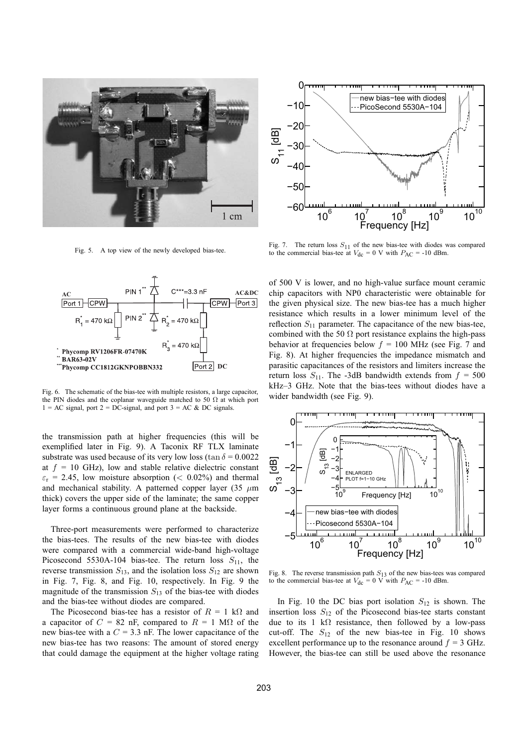

Fig. 5. A top view of the newly developed bias-tee.



Fig. 6. The schematic of the bias-tee with multiple resistors, a large capacitor, the PIN diodes and the coplanar waveguide matched to 50  $\Omega$  at which port  $1 = AC$  signal, port  $2 = DC$ -signal, and port  $3 = AC & DC$  signals.

the transmission path at higher frequencies (this will be exemplified later in Fig. 9). A Taconix RF TLX laminate substrate was used because of its very low loss (tan  $\delta = 0.0022$ ) at  $f = 10$  GHz), low and stable relative dielectric constant  $\varepsilon_r$  = 2.45, low moisture absorption (< 0.02%) and thermal and mechanical stability. A patterned copper layer (35  $\mu$ m thick) covers the upper side of the laminate; the same copper layer forms a continuous ground plane at the backside.

Three-port measurements were performed to characterize the bias-tees. The results of the new bias-tee with diodes were compared with a commercial wide-band high-voltage Picosecond 5530A-104 bias-tee. The return loss  $S_{11}$ , the reverse transmission  $S_{13}$ , and the isolation loss  $S_{12}$  are shown in Fig. 7, Fig. 8, and Fig. 10, respectively. In Fig. 9 the magnitude of the transmission  $S_{13}$  of the bias-tee with diodes and the bias-tee without diodes are compared.

The Picosecond bias-tee has a resistor of  $R = 1$  kΩ and a capacitor of  $C = 82$  nF, compared to  $R = 1$  M $\Omega$  of the new bias-tee with a  $C = 3.3$  nF. The lower capacitance of the new bias-tee has two reasons: The amount of stored energy that could damage the equipment at the higher voltage rating



Fig. 7. The return loss  $S_{11}$  of the new bias-tee with diodes was compared to the commercial bias-tee at  $V_{\text{dc}} = 0$  V with  $P_{\text{AC}} = -10$  dBm.

of 500 V is lower, and no high-value surface mount ceramic chip capacitors with NP0 characteristic were obtainable for the given physical size. The new bias-tee has a much higher resistance which results in a lower minimum level of the reflection  $S_{11}$  parameter. The capacitance of the new bias-tee, combined with the 50  $\Omega$  port resistance explains the high-pass behavior at frequencies below  $f = 100$  MHz (see Fig. 7 and Fig. 8). At higher frequencies the impedance mismatch and parasitic capacitances of the resistors and limiters increase the return loss  $S_{11}$ . The -3dB bandwidth extends from  $f = 500$ kHz–3 GHz. Note that the bias-tees without diodes have a wider bandwidth (see Fig. 9).



Fig. 8. The reverse transmission path  $S_{13}$  of the new bias-tees was compared to the commercial bias-tee at  $V_{dc} = 0$  V with  $P_{AC} = -10$  dBm.

In Fig. 10 the DC bias port isolation  $S_{12}$  is shown. The insertion loss  $S_{12}$  of the Picosecond bias-tee starts constant due to its 1 kΩ resistance, then followed by a low-pass cut-off. The  $S_{12}$  of the new bias-tee in Fig. 10 shows excellent performance up to the resonance around  $f = 3$  GHz. However, the bias-tee can still be used above the resonance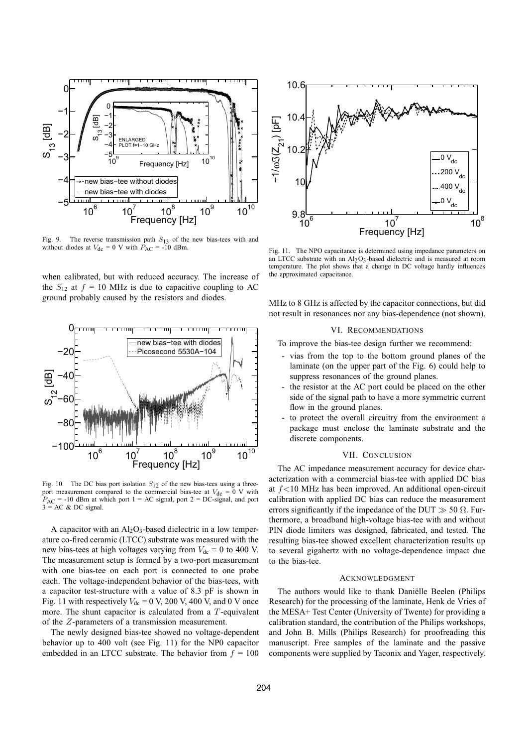

Fig. 9. The reverse transmission path  $S_{13}$  of the new bias-tees with and without diodes at  $V_{\text{dc}} = 0$  V with  $\hat{P}_{\text{AC}} = -10$  dBm.

when calibrated, but with reduced accuracy. The increase of the  $S_{12}$  at  $f = 10$  MHz is due to capacitive coupling to AC ground probably caused by the resistors and diodes.



Fig. 10. The DC bias port isolation  $S_{12}$  of the new bias-tees using a threeport measurement compared to the commercial bias-tee at  $V_{dc} = 0$  V with  $P_{AC}$  = -10 dBm at which port 1 = AC signal, port 2 = DC-signal, and port  $3 = AC & DC$  signal.

A capacitor with an  $Al_2O_3$ -based dielectric in a low temperature co-fired ceramic (LTCC) substrate was measured with the new bias-tees at high voltages varying from  $V_{dc} = 0$  to 400 V. The measurement setup is formed by a two-port measurement with one bias-tee on each port is connected to one probe each. The voltage-independent behavior of the bias-tees, with a capacitor test-structure with a value of 8.3 pF is shown in Fig. 11 with respectively  $V_{\text{dc}} = 0$  V, 200 V, 400 V, and 0 V once more. The shunt capacitor is calculated from a  $T$ -equivalent of the Z-parameters of a transmission measurement.

The newly designed bias-tee showed no voltage-dependent behavior up to 400 volt (see Fig. 11) for the NP0 capacitor embedded in an LTCC substrate. The behavior from  $f = 100$ 



Fig. 11. The NPO capacitance is determined using impedance parameters on an LTCC substrate with an  $Al_2O_3$ -based dielectric and is measured at room temperature. The plot shows that a change in DC voltage hardly influences the approximated capacitance.

MHz to 8 GHz is affected by the capacitor connections, but did not result in resonances nor any bias-dependence (not shown).

#### VI. RECOMMENDATIONS

To improve the bias-tee design further we recommend:

- vias from the top to the bottom ground planes of the laminate (on the upper part of the Fig. 6) could help to suppress resonances of the ground planes.
- the resistor at the AC port could be placed on the other side of the signal path to have a more symmetric current flow in the ground planes.
- to protect the overall circuitry from the environment a package must enclose the laminate substrate and the discrete components.

#### VII. CONCLUSION

The AC impedance measurement accuracy for device characterization with a commercial bias-tee with applied DC bias at  $f$ <10 MHz has been improved. An additional open-circuit calibration with applied DC bias can reduce the measurement errors significantly if the impedance of the DUT  $\gg$  50  $\Omega$ . Furthermore, a broadband high-voltage bias-tee with and without PIN diode limiters was designed, fabricated, and tested. The resulting bias-tee showed excellent characterization results up to several gigahertz with no voltage-dependence impact due to the bias-tee.

# ACKNOWLEDGMENT

The authors would like to thank Daniëlle Beelen (Philips Research) for the processing of the laminate, Henk de Vries of the MESA+ Test Center (University of Twente) for providing a calibration standard, the contribution of the Philips workshops, and John B. Mills (Philips Research) for proofreading this manuscript. Free samples of the laminate and the passive components were supplied by Taconix and Yager, respectively.